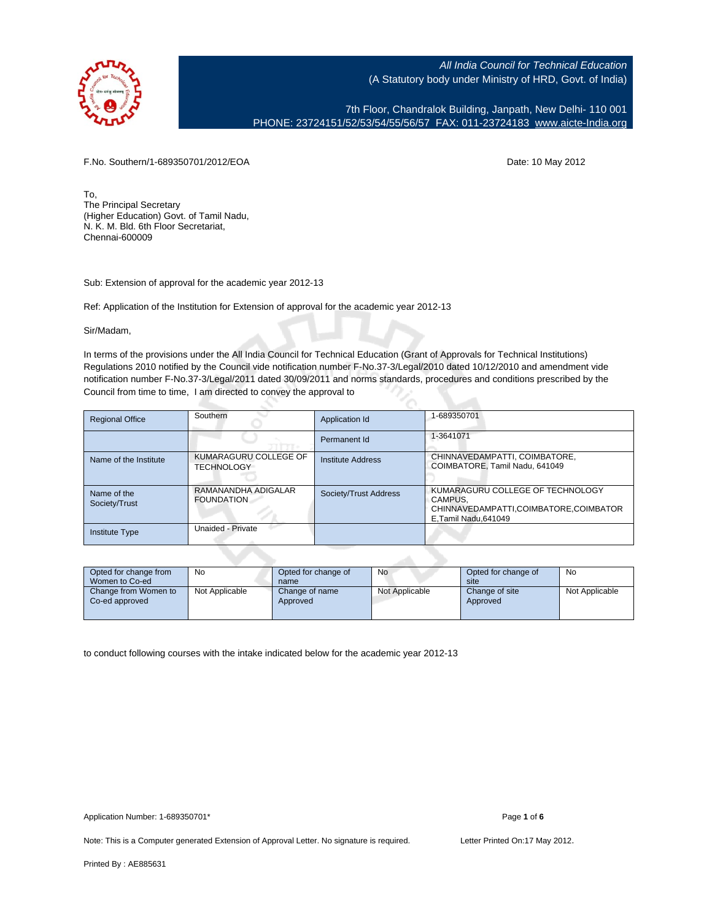

7th Floor, Chandralok Building, Janpath, New Delhi- 110 001 PHONE: 23724151/52/53/54/55/56/57 FAX: 011-23724183 [www.aicte-India.org](http://www.aicte-India.org)

F.No. Southern/1-689350701/2012/EOA Date: 10 May 2012

To, The Principal Secretary (Higher Education) Govt. of Tamil Nadu, N. K. M. Bld. 6th Floor Secretariat, Chennai-600009

Sub: Extension of approval for the academic year 2012-13

Ref: Application of the Institution for Extension of approval for the academic year 2012-13

Sir/Madam,

In terms of the provisions under the All India Council for Technical Education (Grant of Approvals for Technical Institutions) Regulations 2010 notified by the Council vide notification number F-No.37-3/Legal/2010 dated 10/12/2010 and amendment vide notification number F-No.37-3/Legal/2011 dated 30/09/2011 and norms standards, procedures and conditions prescribed by the Council from time to time, I am directed to convey the approval to

| <b>Regional Office</b>       | Southern                                   | Application Id        | 1-689350701                                                                                                   |
|------------------------------|--------------------------------------------|-----------------------|---------------------------------------------------------------------------------------------------------------|
|                              |                                            | Permanent Id          | 1-3641071                                                                                                     |
| Name of the Institute        | KUMARAGURU COLLEGE OF<br><b>TECHNOLOGY</b> | Institute Address     | CHINNAVEDAMPATTI, COIMBATORE,<br>COIMBATORE, Tamil Nadu, 641049                                               |
| Name of the<br>Society/Trust | RAMANANDHA ADIGALAR<br><b>FOUNDATION</b>   | Society/Trust Address | KUMARAGURU COLLEGE OF TECHNOLOGY<br>CAMPUS.<br>CHINNAVEDAMPATTI,COIMBATORE,COIMBATOR<br>E, Tamil Nadu, 641049 |
| <b>Institute Type</b>        | Unaided - Private                          |                       |                                                                                                               |

| Opted for change from<br>Women to Co-ed | No             | Opted for change of<br>name | No             | Opted for change of<br>site | No             |
|-----------------------------------------|----------------|-----------------------------|----------------|-----------------------------|----------------|
| Change from Women to<br>Co-ed approved  | Not Applicable | Change of name<br>Approved  | Not Applicable | Change of site<br>Approved  | Not Applicable |

to conduct following courses with the intake indicated below for the academic year 2012-13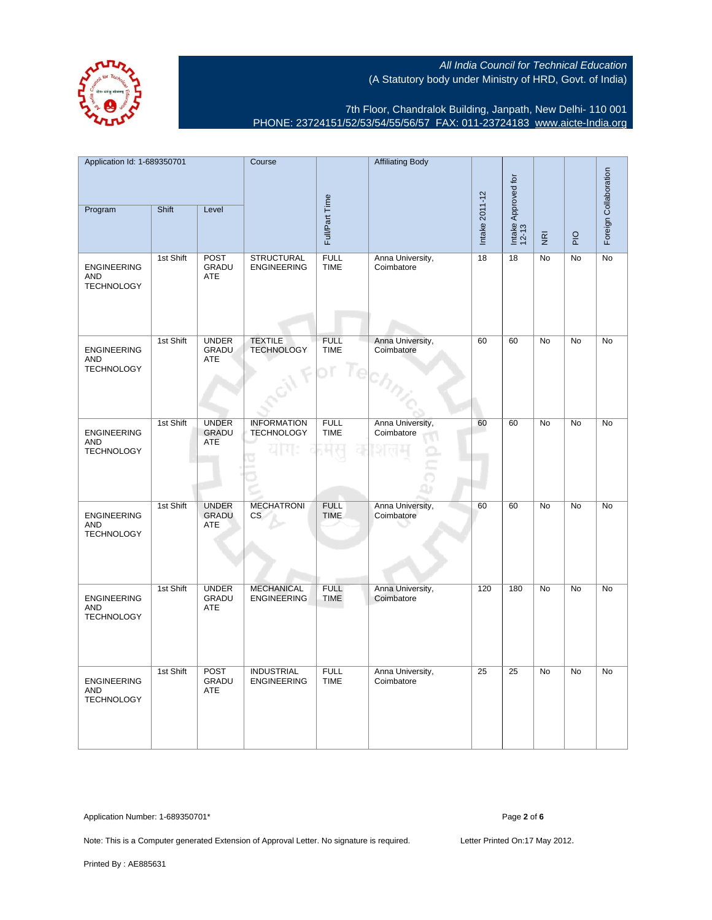

7th Floor, Chandralok Building, Janpath, New Delhi- 110 001 PHONE: 23724151/52/53/54/55/56/57 FAX: 011-23724183 [www.aicte-India.org](http://www.aicte-India.org)

| Application Id: 1-689350701<br>Program                | Shift     | Level                              | Course                                  | Full/Part Time                    | <b>Affiliating Body</b>        | Intake 2011-12 | Intake Approved for<br>12-13 |                                 |                | Foreign Collaboration |
|-------------------------------------------------------|-----------|------------------------------------|-----------------------------------------|-----------------------------------|--------------------------------|----------------|------------------------------|---------------------------------|----------------|-----------------------|
|                                                       |           |                                    |                                         |                                   |                                |                |                              | $\overline{\tilde{\mathbf{g}}}$ | $\overline{P}$ |                       |
| <b>ENGINEERING</b><br>AND<br><b>TECHNOLOGY</b>        | 1st Shift | POST<br>GRADU<br>ATE               | <b>STRUCTURAL</b><br><b>ENGINEERING</b> | FULL<br><b>TIME</b>               | Anna University,<br>Coimbatore | 18             | 18                           | No                              | No             | No                    |
| <b>ENGINEERING</b><br><b>AND</b><br><b>TECHNOLOGY</b> | 1st Shift | <b>UNDER</b><br>GRADU<br>ATE       | <b>TEXTILE</b><br><b>TECHNOLOGY</b>     | <b>FULL</b><br><b>TIME</b><br>l e | Anna University,<br>Coimbatore | 60             | 60                           | <b>No</b>                       | <b>No</b>      | No                    |
| <b>ENGINEERING</b><br>AND<br><b>TECHNOLOGY</b>        | 1st Shift | <b>UNDER</b><br>GRADU<br>ATE       | <b>INFORMATION</b><br><b>TECHNOLOGY</b> | <b>FULL</b><br><b>TIME</b>        | Anna University,<br>Coimbatore | 60             | 60                           | No                              | <b>No</b>      | No                    |
| <b>ENGINEERING</b><br>AND<br><b>TECHNOLOGY</b>        | 1st Shift | <b>UNDER</b><br>GRADU<br>ATE       | <b>MECHATRONI</b><br><b>CS</b>          | <b>FULL</b><br><b>TIME</b>        | Anna University,<br>Coimbatore | 60             | 60                           | No                              | No             | No                    |
| <b>ENGINEERING</b><br><b>AND</b><br><b>TECHNOLOGY</b> | 1st Shift | <b>UNDER</b><br>GRADU<br>ATE       | <b>MECHANICAL</b><br><b>ENGINEERING</b> | <b>FULL</b><br><b>TIME</b>        | Anna University,<br>Coimbatore | 120            | 180                          | No                              | No             | No                    |
| <b>ENGINEERING</b><br><b>AND</b><br><b>TECHNOLOGY</b> | 1st Shift | <b>POST</b><br>GRADU<br><b>ATE</b> | <b>INDUSTRIAL</b><br><b>ENGINEERING</b> | <b>FULL</b><br><b>TIME</b>        | Anna University,<br>Coimbatore | 25             | 25                           | <b>No</b>                       | <b>No</b>      | <b>No</b>             |

Application Number: 1-689350701\* Page **2** of **6**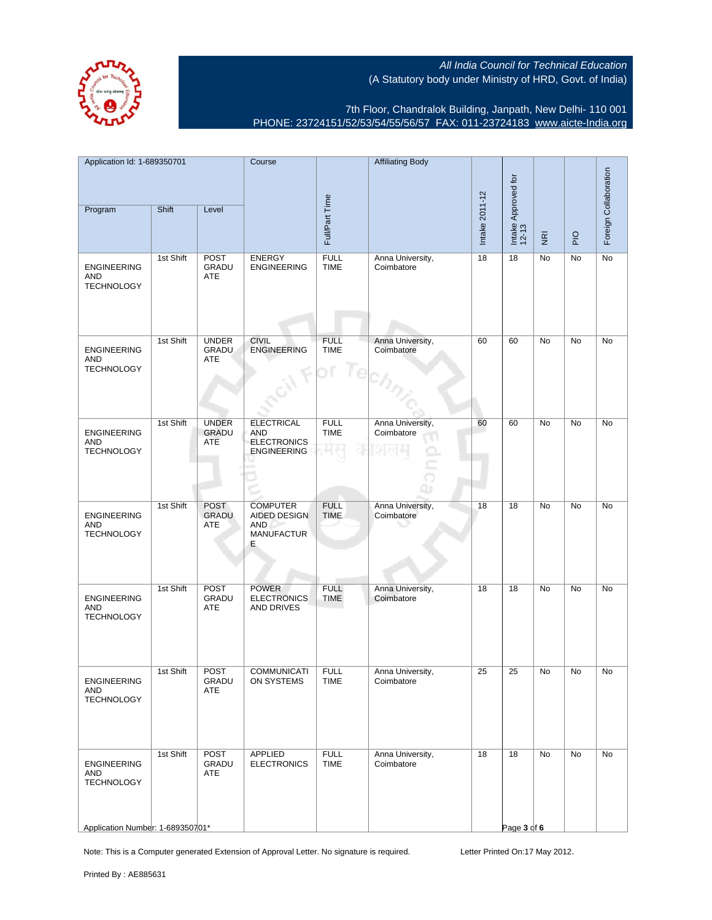

7th Floor, Chandralok Building, Janpath, New Delhi- 110 001 PHONE: 23724151/52/53/54/55/56/57 FAX: 011-23724183 [www.aicte-India.org](http://www.aicte-India.org)

| Application Id: 1-689350701                                                        |           | Course                       |                                                                             | <b>Affiliating Body</b>    |                                |                |                              |                         |             |                       |
|------------------------------------------------------------------------------------|-----------|------------------------------|-----------------------------------------------------------------------------|----------------------------|--------------------------------|----------------|------------------------------|-------------------------|-------------|-----------------------|
| Program                                                                            | Shift     | Level                        |                                                                             | Full/Part Time             |                                | Intake 2011-12 | Intake Approved for<br>12-13 | $\overline{\mathbf{g}}$ | $rac{O}{P}$ | Foreign Collaboration |
| <b>ENGINEERING</b><br>AND<br><b>TECHNOLOGY</b>                                     | 1st Shift | <b>POST</b><br>GRADU<br>ATE  | ENERGY<br>ENGINEERING                                                       | <b>FULL</b><br><b>TIME</b> | Anna University,<br>Coimbatore | 18             | 18                           | No                      | No          | No                    |
| <b>ENGINEERING</b><br><b>AND</b><br><b>TECHNOLOGY</b>                              | 1st Shift | <b>UNDER</b><br>GRADU<br>ATE | <b>CIVIL</b><br><b>ENGINEERING</b>                                          | <b>FULL</b><br><b>TIME</b> | Anna University,<br>Coimbatore | 60             | 60                           | No                      | No          | No                    |
| <b>ENGINEERING</b><br><b>AND</b><br><b>TECHNOLOGY</b>                              | 1st Shift | <b>UNDER</b><br>GRADU<br>ATE | <b>ELECTRICAL</b><br><b>AND</b><br><b>ELECTRONICS</b><br><b>ENGINEERING</b> | <b>FULL</b><br><b>TIME</b> | Anna University,<br>Coimbatore | 60             | 60                           | No                      | No          | No                    |
| <b>ENGINEERING</b><br>AND<br><b>TECHNOLOGY</b>                                     | 1st Shift | <b>POST</b><br>GRADU<br>ATE  | <b>COMPUTER</b><br>AIDED DESIGN<br><b>AND</b><br><b>MANUFACTUR</b><br>E.    | <b>FULL</b><br><b>TIME</b> | Anna University,<br>Coimbatore | 18             | 18                           | No                      | No          | No                    |
| <b>ENGINEERING</b><br><b>AND</b><br><b>TECHNOLOGY</b>                              | 1st Shift | <b>POST</b><br>GRADU<br>ATE  | <b>POWER</b><br><b>ELECTRONICS</b><br>AND DRIVES                            | <b>FULL</b><br>TIME        | Anna University,<br>Coimbatore | 18             | 18                           | No                      | No          | No                    |
| ENGINEERING<br>AND<br><b>TECHNOLOGY</b>                                            | 1st Shift | <b>POST</b><br>GRADU<br>ATE  | <b>COMMUNICATI</b><br>ON SYSTEMS                                            | <b>FULL</b><br>TIME        | Anna University,<br>Coimbatore | 25             | 25                           | No                      | No          | No                    |
| <b>ENGINEERING</b><br>AND<br><b>TECHNOLOGY</b><br>Application Number: 1-689350701* | 1st Shift | <b>POST</b><br>GRADU<br>ATE  | APPLIED<br><b>ELECTRONICS</b>                                               | <b>FULL</b><br><b>TIME</b> | Anna University,<br>Coimbatore | 18             | 18<br>Page 3 of 6            | No                      | No          | No                    |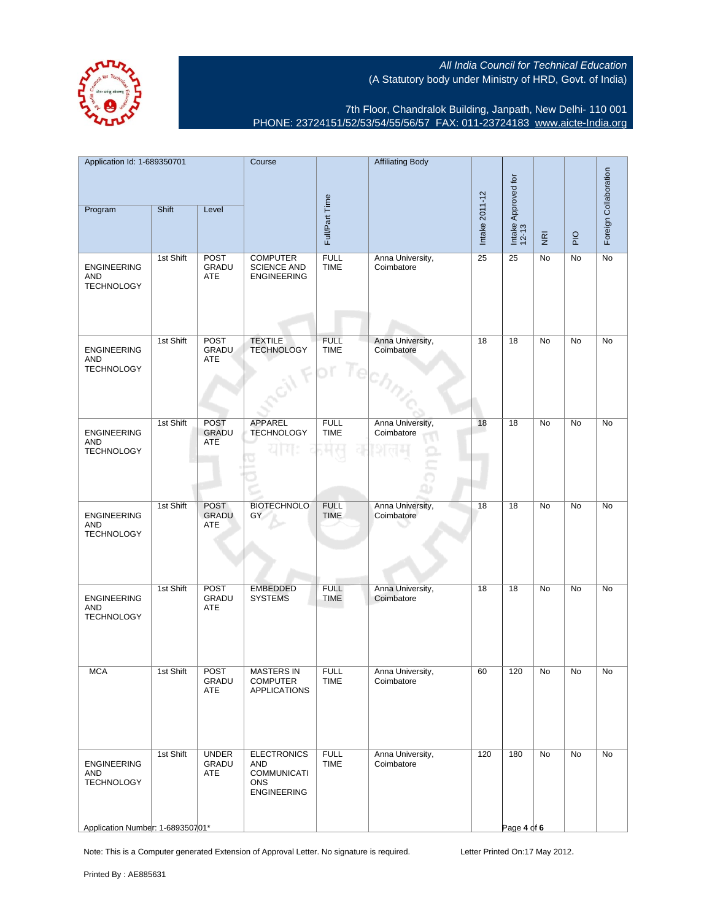

7th Floor, Chandralok Building, Janpath, New Delhi- 110 001 PHONE: 23724151/52/53/54/55/56/57 FAX: 011-23724183 [www.aicte-India.org](http://www.aicte-India.org)

| Application Id: 1-689350701                                                        |           | Course                       |                                                                                     | <b>Affiliating Body</b>    |                                |                |                              |                         | Foreign Collaboration |    |
|------------------------------------------------------------------------------------|-----------|------------------------------|-------------------------------------------------------------------------------------|----------------------------|--------------------------------|----------------|------------------------------|-------------------------|-----------------------|----|
| Program                                                                            | Shift     | Level                        |                                                                                     | Full/Part Time             |                                | Intake 2011-12 | Intake Approved for<br>12-13 | $\overline{\mathbf{g}}$ | PIO                   |    |
| <b>ENGINEERING</b><br><b>AND</b><br><b>TECHNOLOGY</b>                              | 1st Shift | <b>POST</b><br>GRADU<br>ATE  | <b>COMPUTER</b><br><b>SCIENCE AND</b><br><b>ENGINEERING</b>                         | <b>FULL</b><br><b>TIME</b> | Anna University,<br>Coimbatore | 25             | 25                           | No                      | No                    | No |
| <b>ENGINEERING</b><br><b>AND</b><br><b>TECHNOLOGY</b>                              | 1st Shift | POST<br>GRADU<br>ATE         | <b>TEXTILE</b><br><b>TECHNOLOGY</b>                                                 | <b>FULL</b><br><b>TIME</b> | Anna University,<br>Coimbatore | 18             | 18                           | No                      | No                    | No |
| <b>ENGINEERING</b><br><b>AND</b><br><b>TECHNOLOGY</b>                              | 1st Shift | <b>POST</b><br>GRADU<br>ATE  | APPAREL<br><b>TECHNOLOGY</b>                                                        | <b>FULL</b><br><b>TIME</b> | Anna University,<br>Coimbatore | 18             | 18                           | No                      | No                    | No |
| <b>ENGINEERING</b><br><b>AND</b><br><b>TECHNOLOGY</b>                              | 1st Shift | <b>POST</b><br>GRADU<br>ATE  | <b>BIOTECHNOLO</b><br>GY                                                            | <b>FULL</b><br><b>TIME</b> | Anna University,<br>Coimbatore | 18             | 18                           | No                      | No                    | No |
| <b>ENGINEERING</b><br><b>AND</b><br><b>TECHNOLOGY</b>                              | 1st Shift | <b>POST</b><br>GRADU<br>ATE  | <b>EMBEDDED</b><br><b>SYSTEMS</b>                                                   | <b>FULL</b><br><b>TIME</b> | Anna University,<br>Coimbatore | 18             | 18                           | <b>No</b>               | <b>No</b>             | No |
| <b>MCA</b>                                                                         | 1st Shift | <b>POST</b><br>GRADU<br>ATE  | <b>MASTERS IN</b><br><b>COMPUTER</b><br><b>APPLICATIONS</b>                         | <b>FULL</b><br><b>IIME</b> | Anna University,<br>Coimbatore | 60             | 120                          | No                      | No                    | No |
| <b>ENGINEERING</b><br>AND<br><b>TECHNOLOGY</b><br>Application Number: 1-689350701* | 1st Shift | <b>UNDER</b><br>GRADU<br>ATE | <b>ELECTRONICS</b><br>AND<br><b>COMMUNICATI</b><br><b>ONS</b><br><b>ENGINEERING</b> | <b>FULL</b><br><b>TIME</b> | Anna University,<br>Coimbatore | 120            | 180<br>Page 4 of 6           | No                      | No                    | No |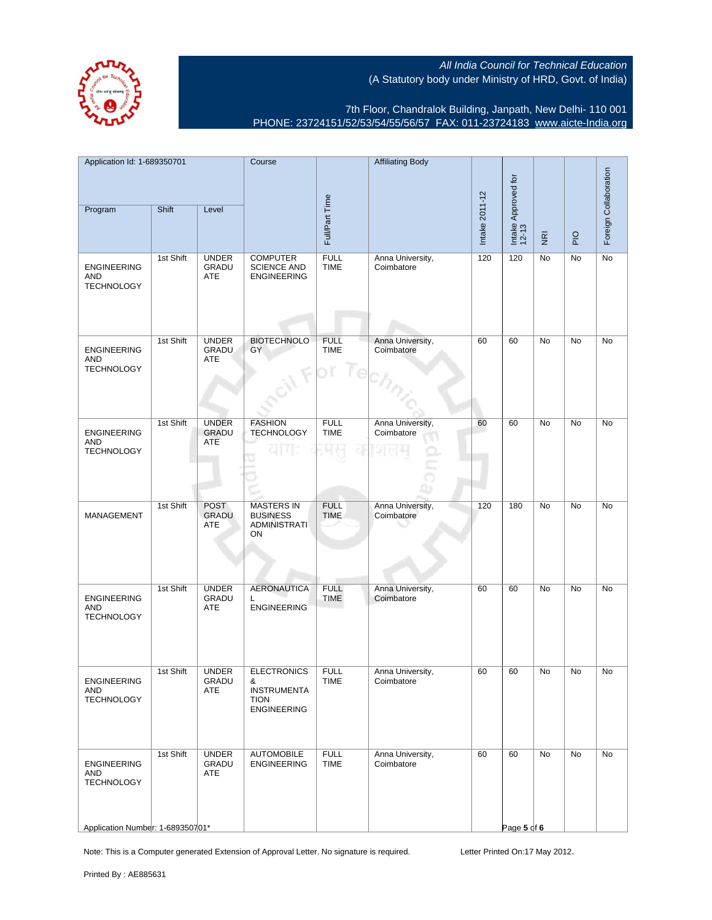

7th Floor, Chandralok Building, Janpath, New Delhi- 110 001 PHONE: 23724151/52/53/54/55/56/57 FAX: 011-23724183 [www.aicte-India.org](http://www.aicte-India.org)

| Application Id: 1-689350701                                                        |           | Course                       |                                                                                     | <b>Affiliating Body</b>    |                                |                |                              |                         | Foreign Collaboration |    |
|------------------------------------------------------------------------------------|-----------|------------------------------|-------------------------------------------------------------------------------------|----------------------------|--------------------------------|----------------|------------------------------|-------------------------|-----------------------|----|
| Program                                                                            | Shift     | Level                        |                                                                                     | Full/Part Time             |                                | Intake 2011-12 | Intake Approved for<br>12-13 | $\overline{\mathbf{g}}$ | P                     |    |
| <b>ENGINEERING</b><br><b>AND</b><br><b>TECHNOLOGY</b>                              | 1st Shift | <b>UNDER</b><br>GRADU<br>ATE | <b>COMPUTER</b><br><b>SCIENCE AND</b><br><b>ENGINEERING</b>                         | <b>FULL</b><br><b>TIME</b> | Anna University,<br>Coimbatore | 120            | 120                          | No                      | No                    | No |
| <b>ENGINEERING</b><br><b>AND</b><br><b>TECHNOLOGY</b>                              | 1st Shift | <b>UNDER</b><br>GRADU<br>ATE | <b>BIOTECHNOLO</b><br>GY                                                            | <b>FULL</b><br><b>TIME</b> | Anna University,<br>Coimbatore | 60             | 60                           | No                      | No                    | No |
| <b>ENGINEERING</b><br><b>AND</b><br><b>TECHNOLOGY</b>                              | 1st Shift | <b>UNDER</b><br>GRADU<br>ATE | <b>FASHION</b><br><b>TECHNOLOGY</b>                                                 | <b>FULL</b><br><b>TIME</b> | Anna University,<br>Coimbatore | 60             | 60                           | No                      | No                    | No |
| MANAGEMENT                                                                         | 1st Shift | <b>POST</b><br>GRADU<br>ATE  | <b>MASTERS IN</b><br><b>BUSINESS</b><br><b>ADMINISTRATI</b><br>ON                   | <b>FULL</b><br><b>TIME</b> | Anna University,<br>Coimbatore | 120            | 180                          | No                      | No                    | No |
| <b>ENGINEERING</b><br>AND<br><b>TECHNOLOGY</b>                                     | 1st Shift | <b>UNDER</b><br>GRADU<br>ATE | <b>AERONAUTICA</b><br>L<br><b>ENGINEERING</b>                                       | <b>FULL</b><br><b>TIME</b> | Anna University,<br>Coimbatore | 60             | 60                           | <b>No</b>               | No                    | No |
| <b>ENGINEERING</b><br>AND<br><b>TECHNOLOGY</b>                                     | 1st Shift | <b>UNDER</b><br>GRADU<br>ATE | <b>ELECTRONICS</b><br>ŏ.<br><b>INSTRUMENTA</b><br><b>TION</b><br><b>ENGINEERING</b> | <b>FULL</b><br><b>IIME</b> | Anna University,<br>Coimbatore | 60             | 60                           | No                      | No                    | No |
| <b>ENGINEERING</b><br>AND<br><b>TECHNOLOGY</b><br>Application Number: 1-689350701* | 1st Shift | <b>UNDER</b><br>GRADU<br>ATE | <b>AUTOMOBILE</b><br><b>ENGINEERING</b>                                             | <b>FULL</b><br><b>TIME</b> | Anna University,<br>Coimbatore | 60             | 60<br>Page 5 of 6            | No                      | No                    | No |